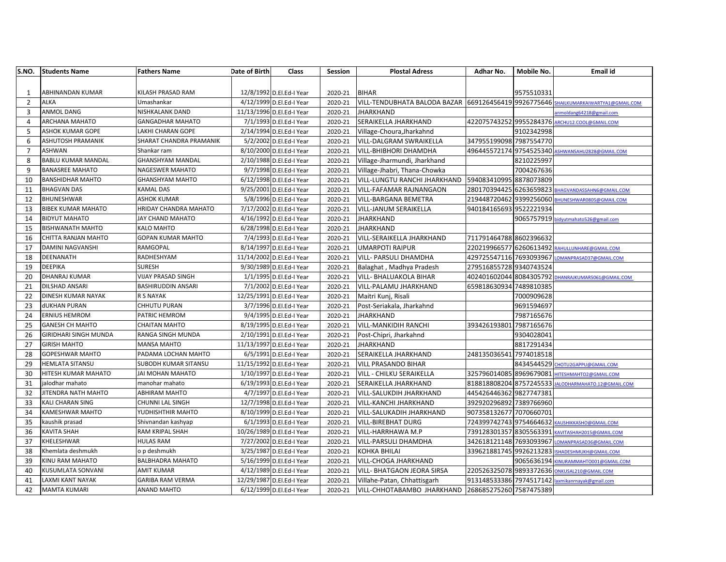| S.NO.          | <b>Students Name</b>         | <b>Fathers Name</b>       | Date of Birth | Class                     | Session | <b>Plostal Adress</b>                                | Adhar No.               | Mobile No.   | <b>Email id</b>                                    |
|----------------|------------------------------|---------------------------|---------------|---------------------------|---------|------------------------------------------------------|-------------------------|--------------|----------------------------------------------------|
|                |                              |                           |               |                           |         |                                                      |                         |              |                                                    |
| $\mathbf{1}$   | ABHINANDAN KUMAR             | KILASH PRASAD RAM         |               | 12/8/1992 D.El.Ed-I Year  | 2020-21 | <b>BIHAR</b>                                         |                         | 9575510331   |                                                    |
| $\overline{2}$ | <b>ALKA</b>                  | Umashankar                |               | 4/12/1999 D.El.Ed-I Year  | 2020-21 | VILL-TENDUBHATA BALODA BAZAR 669126456419 9926775646 |                         |              | HAILKUMARKAIWARTYA1@GMAIL.COM                      |
| 3              | <b>ANMOL DANG</b>            | NISHKALANK DAND           |               | 11/13/1996 D.El.Ed-I Year | 2020-21 | <b>JHARKHAND</b>                                     |                         |              | nmoldang64218@gmail.com                            |
| 4              | ARCHANA MAHATO               | <b>GANGADHAR MAHATO</b>   |               | 7/1/1993 D.El.Ed-I Year   | 2020-21 | SERAIKELLA JHARKHAND                                 | 422075743252 9955284376 |              | RCHU12.COOL@GMAIL.COM                              |
| 5              | ASHOK KUMAR GOPE             | LAKHI CHARAN GOPE         |               | 2/14/1994 D.El.Ed-I Year  | 2020-21 | Village-Choura, Jharkahnd                            |                         | 9102342998   |                                                    |
| 6              | ASHUTOSH PRAMANIK            | SHARAT CHANDRA PRAMANIK   |               | 5/2/2002 D.El.Ed-I Year   | 2020-21 | VILL-DALGRAM SWRAIKELLA                              | 347955199098 7987554770 |              |                                                    |
| $\overline{7}$ | ASHWAN                       | Shankar ram               |               | 8/10/2000 D.El.Ed-I Year  | 2020-21 | <b>VILL-BHIBHORI DHAMDHA</b>                         |                         |              | 496445572174 9754525340 ASHWANSAHU2828@GMAIL.COM   |
| 8              | <b>BABLU KUMAR MANDAL</b>    | <b>GHANSHYAM MANDAL</b>   |               | 2/10/1988 D.El.Ed-I Year  | 2020-21 | Village-Jharmundi, Jharkhand                         |                         | 8210225997   |                                                    |
| 9              | <b>BANASREE MAHATO</b>       | NAGESWER MAHATO           |               | 9/7/1998 D.El.Ed-I Year   | 2020-21 | Village-Jhabri, Thana-Chowka                         |                         | 7004267636   |                                                    |
| 10             | <b>BANSHIDHAR MAHTO</b>      | <b>GHANSHYAM MAHTO</b>    |               | 6/12/1998 D.El.Ed-I Year  | 2020-21 | VILL-LUNGTU RANCHI JHARKHAND                         | 594083410995 8878073809 |              |                                                    |
| 11             | <b>BHAGVAN DAS</b>           | KAMAL DAS                 |               | 9/25/2001 D.El.Ed-I Year  | 2020-21 | <b>VILL-FAFAMAR RAJNANGAON</b>                       | 280170394425 6263659823 |              | <b>BHAGVANDASSAHN6@GMAIL.COM</b>                   |
| 12             | BHUNESHWAR                   | <b>ASHOK KUMAR</b>        |               | 5/8/1996 D.El.Ed-I Year   | 2020-21 | VILL-BARGANA BEMETRA                                 |                         |              | 219448720462 9399256060 BHUNESHWAR0805@GMAIL.COM   |
| 13             | <b>BIBEK KUMAR MAHATO</b>    | HRIDAY CHANDRA MAHATO     |               | 7/17/2002 D.El.Ed-I Year  | 2020-21 | VILL-JANUM SERAIKELLA                                | 940184165693 9522221934 |              |                                                    |
| 14             | <b>BIDYUT MAHATO</b>         | JAY CHAND MAHATO          |               | 4/16/1992 D.El.Ed-I Year  | 2020-21 | <b>JHARKHAND</b>                                     |                         |              | 9065757919 bidyutmahato526@gmail.com               |
| 15             | <b>BISHWANATH MAHTO</b>      | <b>KALO MAHTO</b>         |               | 6/28/1998 D.El.Ed-I Year  | 2020-21 | <b>JHARKHAND</b>                                     |                         |              |                                                    |
| 16             | CHITTA RANJAN MAHTO          | GOPAN KUMAR MAHTO         |               | 7/4/1993 D.El.Ed-I Year   | 2020-21 | VILL-SERAIKELLA JHARKHAND                            | 711791464788 8602396632 |              |                                                    |
| 17             | DAMINI NAGVANSHI             | RAMGOPAL                  |               | 8/14/1997 D.El.Ed-I Year  | 2020-21 | <b>UMARPOTI RAIPUR</b>                               |                         |              | 220219966577 6260613492 RAHULLUNHARE@GMAIL.COM     |
| 18             | DEENANATH                    | RADHESHYAM                |               | 11/14/2002 D.El.Ed-I Year | 2020-21 | VILL- PARSULI DHAMDHA                                | 429725547116 7693093967 |              | LOMANPRASAD37@GMAIL.COM                            |
| 19             | <b>DEEPIKA</b>               | <b>SURESH</b>             |               | 9/30/1989 D.El.Ed-I Year  | 2020-21 | Balaghat, Madhya Pradesh                             | 279516855728 9340743524 |              |                                                    |
| 20             | <b>DHANRAJ KUMAR</b>         | <b>VIJAY PRASAD SINGH</b> |               | 1/1/1995 D.El.Ed-I Year   | 2020-21 | VILL- BHALUAKOLA BIHAR                               |                         |              | 402401602044 8084305792 DHANRAJKUMAR5061@GMAIL.COM |
| 21             | <b>DILSHAD ANSARI</b>        | <b>BASHIRUDDIN ANSARI</b> |               | 7/1/2002 D.El.Ed-I Year   | 2020-21 | VILL-PALAMU JHARKHAND                                | 659818630934            | 7489810385   |                                                    |
| 22             | DINESH KUMAR NAYAK           | R S NAYAK                 |               | 12/25/1991 D.El.Ed-I Year | 2020-21 | Maitri Kunj, Risali                                  |                         | 7000909628   |                                                    |
| 23             | <b>dUKHAN PURAN</b>          | CHHUTU PURAN              |               | 3/7/1996 D.El.Ed-I Year   | 2020-21 | Post-Seriakala, Jharkahnd                            |                         | 9691594697   |                                                    |
| 24             | <b>ERNIUS HEMROM</b>         | PATRIC HEMROM             |               | 9/4/1995 D.El.Ed-I Year   | 2020-21 | <b>JHARKHAND</b>                                     |                         | 7987165676   |                                                    |
| 25             | <b>GANESH CH MAHTO</b>       | <b>CHAITAN MAHTO</b>      |               | 8/19/1995 D.El.Ed-I Year  | 2020-21 | VILL-MANKIDIH RANCHI                                 | 393426193801 7987165676 |              |                                                    |
| 26             | <b>GIRIDHARI SINGH MUNDA</b> | RANGA SINGH MUNDA         |               | 2/10/1991 D.El.Ed-I Year  | 2020-21 | Post-Chipri, Jharkahnd                               |                         | 9304028041   |                                                    |
| 27             | <b>GIRISH MAHTO</b>          | <b>MANSA MAHTO</b>        |               | 11/13/1997 D.El.Ed-I Year | 2020-21 | <b>JHARKHAND</b>                                     |                         | 8817291434   |                                                    |
| 28             | GOPESHWAR MAHTO              | PADAMA LOCHAN MAHTO       |               | 6/5/1991 D.El.Ed-I Year   | 2020-21 | SERAIKELLA JHARKHAND                                 | 248135036541 7974018518 |              |                                                    |
| 29             | <b>HEMLATA SITANSU</b>       | SUBODH KUMAR SITANSU      |               | 11/15/1992 D.El.Ed-I Year | 2020-21 | <b>VILL PRASANDO BIHAR</b>                           |                         |              | 8434544529 CHOTU2GAPPU@GMAIL.COM                   |
| 30             | HITESH KUMAR MAHATO          | JAI MOHAN MAHATO          |               | 1/10/1997 D.El.Ed-I Year  | 2020-21 | VILL - CHILKU SERAIKELLA                             |                         |              | 325796014085 8969679081 НІТЕ SН МАНТО 2@ GMAIL.COM |
| 31             | jalodhar mahato              | manohar mahato            |               | 6/19/1993 D.El.Ed-I Year  | 2020-21 | SERAIKELLA JHARKHAND                                 | 818818808204 8757245533 |              | JALODHARMAHATO.12@GMAIL.COM                        |
| 32             | JITENDRA NATH MAHTO          | ABHIRAM MAHTO             |               | 4/7/1997 D.El.Ed-I Year   | 2020-21 | VILL-SALUKDIH JHARKHAND                              | 445426446362 9827747381 |              |                                                    |
| 33             | <b>KALI CHARAN SING</b>      | CHUNNI LAL SINGH          |               | 12/7/1998 D.El.Ed-I Year  | 2020-21 | <b>VILL-KANCHI JHARKHAND</b>                         | 392920296892 7389766960 |              |                                                    |
| 34             | KAMESHWAR MAHTO              | YUDHISHTHIR MAHTO         |               | 8/10/1999 D.El.Ed-I Year  | 2020-21 | VILL-SALUKADIH JHARKHAND                             | 907358132677 7070660701 |              |                                                    |
| 35             | kaushik prasad               | Shivnandan kashyap        |               | 6/1/1993 D.El.Ed-I Year   | 2020-21 | <b>VILL-BIREBHAT DURG</b>                            | 724399742743 9754664632 |              | AUSHIKKASHO@GMAIL.COM                              |
| 36             | <b>KAVITA SHAH</b>           | RAM KRIPAL SHAH           |               | 10/26/1989 D.El.Ed-I Year | 2020-21 | <b>VILL-HARRHAWA M.P</b>                             | 739128301357 8305563391 |              | AVITASHAH2015@GMAIL.COM                            |
| 37             | KHELESHWAR                   | <b>HULAS RAM</b>          |               | 7/27/2002 D.El.Ed-I Year  | 2020-21 | <b>VILL-PARSULI DHAMDHA</b>                          | 342618121148 7693093967 |              | OMANPRASAD36@GMAIL.COM                             |
| 38             | Khemlata deshmukh            | o p deshmukh              |               | 3/25/1987 D.El.Ed-I Year  | 2020-21 | KOHKA BHILAI                                         | 339621881745 9926213283 |              | SHADESHMUKH@GMAIL.COM                              |
| 39             | KINU RAM MAHATO              | <b>BALBHADRA MAHATO</b>   |               | 5/16/1999 D.El.Ed-I Year  | 2020-21 | <b>VILL-CHOGA JHARKHAND</b>                          |                         | 9065636194 K | <b>INURAMMAHTO001@GMAIL.COM</b>                    |
| 40             | KUSUMLATA SONVANI            | <b>AMIT KUMAR</b>         |               | 4/12/1989 D.El.Ed-I Year  | 2020-21 | <b>VILL- BHATGAON JEORA SIRSA</b>                    |                         |              | 220526325078 9893372636 ONKUSAL210@GMAIL.COM       |
| 41             | LAXMI KANT NAYAK             | GARIBA RAM VERMA          |               | 12/29/1987 D.El.Ed-I Year | 2020-21 | Villahe-Patan, Chhattisgarh                          |                         |              | 913148533386 7974517142 laxmikanrnayak@gmail.com   |
| 42             | <b>MAMTA KUMARI</b>          | <b>ANAND MAHTO</b>        |               | 6/12/1999 D.El.Ed-I Year  | 2020-21 | VILL-CHHOTABAMBO JHARKHAND                           | 268685275260 7587475389 |              |                                                    |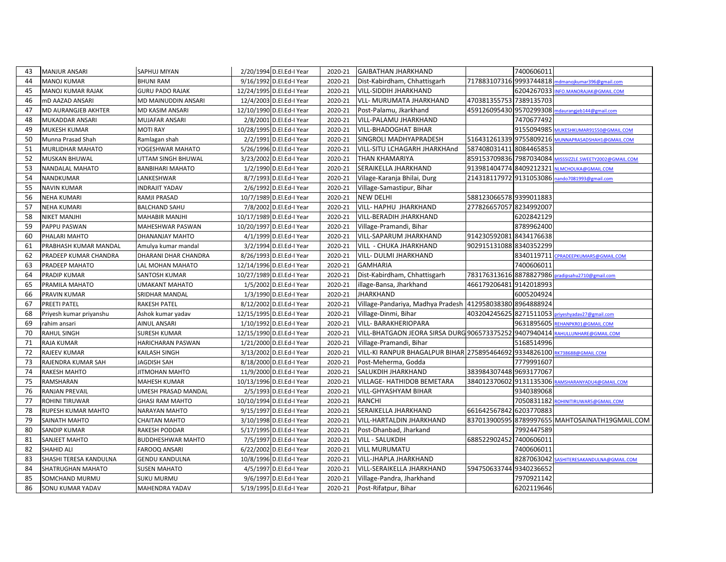| 43 | <b>MANJUR ANSARI</b>    | <b>SAPHUJ MIYAN</b>      | 2/20/1994 D.El.Ed-I Year  | 2020-21 | <b>GAIBATHAN JHARKHAND</b>                             |                         | 7400606011 |                                                         |
|----|-------------------------|--------------------------|---------------------------|---------|--------------------------------------------------------|-------------------------|------------|---------------------------------------------------------|
| 44 | MANOJ KUMAR             | <b>BHUNI RAM</b>         | 9/16/1992 D.El.Ed-I Year  | 2020-21 | Dist-Kabirdham, Chhattisgarh                           | 717883107316 9993744818 |            | ndmanojkumar396@gmail.com                               |
| 45 | MANOJ KUMAR RAJAK       | <b>GURU PADO RAJAK</b>   | 12/24/1995 D.El.Ed-I Year | 2020-21 | VILL-SIDDIH JHARKHAND                                  |                         | 6204267033 | INFO.MANORAJAK@GMAIL.COM                                |
| 46 | mD AAZAD ANSARI         | MD MAINUDDIN ANSARI      | 12/4/2003 D.El.Ed-I Year  | 2020-21 | VLL- MURUMATA JHARKHAND                                | 470381355753 7389135703 |            |                                                         |
| 47 | MD AURANGJEB AKHTER     | MD KASIM ANSARI          | 12/10/1990 D.El.Ed-I Year | 2020-21 | Post-Palamu, Jkarkhand                                 | 459126095430 9570299308 |            | mdaurangjeb144@gmail.com                                |
| 48 | MUKADDAR ANSARI         | MUJAFAR ANSARI           | 2/8/2001 D.El.Ed-I Year   | 2020-21 | VILL-PALAMU JHARKHAND                                  |                         | 7470677492 |                                                         |
| 49 | <b>MUKESH KUMAR</b>     | <b>MOTI RAY</b>          | 10/28/1995 D.El.Ed-I Year | 2020-21 | VILL-BHADOGHAT BIHAR                                   |                         | 9155094985 | MUKESHKUMAR91550@GMAIL.COM                              |
| 50 | Munna Prasad Shah       | Ramlagan shah            | 2/2/1991 D.El.Ed-I Year   | 2020-21 | SINGROLI MADHYAPRADESH                                 | 516431261339 9755809216 |            | MUNNAPRASADSHAH1@GMAIL.COM                              |
| 51 | MURLIDHAR MAHATO        | YOGESHWAR MAHATO         | 5/26/1996 D.El.Ed-I Year  | 2020-21 | VILL-SITU LCHAGARH JHARKHAnd                           | 587408031411 8084465853 |            |                                                         |
| 52 | <b>MUSKAN BHUWAL</b>    | UTTAM SINGH BHUWAL       | 3/23/2002 D.El.Ed-I Year  | 2020-21 | THAN KHAMARIYA                                         |                         |            | 859153709836 7987034084 MISSSIZZLE.SWEETY2002@GMAIL.COM |
| 53 | NANDALAL MAHATO         | <b>BANBIHARI MAHATO</b>  | 1/2/1990 D.El.Ed-I Year   | 2020-21 | SERAIKELLA JHARKHAND                                   | 913981404774 8409212321 |            | <b>NLMCHOUKA@GMAIL.COM</b>                              |
| 54 | NANDKUMAR               | LANKESHWAR               | 8/7/1993 D.El.Ed-I Year   | 2020-21 | Vilage-Karanja Bhilai, Durg                            | 214318117972 9131053086 |            | nando7081993@gmail.com                                  |
| 55 | <b>NAVIN KUMAR</b>      | INDRAJIT YADAV           | 2/6/1992 D.El.Ed-I Year   | 2020-21 | Village-Samastipur, Bihar                              |                         |            |                                                         |
| 56 | <b>NEHA KUMARI</b>      | RAMJI PRASAD             | 10/7/1989 D.El.Ed-I Year  | 2020-21 | <b>NEW DELHI</b>                                       | 588123066578 9399011883 |            |                                                         |
| 57 | <b>NEHA KUMARI</b>      | <b>BALCHAND SAHU</b>     | 7/8/2002 D.El.Ed-I Year   | 2020-21 | VILL- HAPHU JHARKHAND                                  | 277826657057 8234992007 |            |                                                         |
| 58 | <b>NIKET MANJHI</b>     | MAHABIR MANJHI           | 10/17/1989 D.El.Ed-I Year | 2020-21 | VILL-BERADIH JHARKHAND                                 |                         | 6202842129 |                                                         |
| 59 | PAPPU PASWAN            | MAHESHWAR PASWAN         | 10/20/1997 D.El.Ed-I Year | 2020-21 | Village-Pramandi, Bihar                                |                         | 8789962400 |                                                         |
| 60 | PHALARI MAHTO           | DHANANJAY MAHTO          | 4/1/1999 D.El.Ed-I Year   | 2020-21 | VILL-SAPARUM JHARKHAND                                 | 914230592081 8434176638 |            |                                                         |
| 61 | PRABHASH KUMAR MANDAL   | Amulya kumar mandal      | 3/2/1994 D.El.Ed-I Year   | 2020-21 | VILL - CHUKA JHARKHAND                                 | 902915131088 8340352299 |            |                                                         |
| 62 | PRADEEP KUMAR CHANDRA   | DHARANI DHAR CHANDRA     | 8/26/1993 D.El.Ed-I Year  | 2020-21 | VILL- DULMI JHARKHAND                                  |                         | 8340119711 | CPRADEEPKUMAR5@GMAIL.COM                                |
| 63 | PRADEEP MAHATO          | LAL MOHAN MAHATO         | 12/14/1996 D.El.Ed-I Year | 2020-21 | <b>GAMHARIA</b>                                        |                         | 7400606011 |                                                         |
| 64 | PRADIP KUMAR            | SANTOSH KUMAR            | 10/27/1989 D.El.Ed-I Year | 2020-21 | Dist-Kabirdham, Chhattisgarh                           | 783176313616 8878827986 |            | pradipsahu2710@gmail.com                                |
| 65 | PRAMILA MAHATO          | UMAKANT MAHATO           | 1/5/2002 D.El.Ed-I Year   | 2020-21 | llage-Bansa, Jharkhand                                 | 466179206481 9142018993 |            |                                                         |
| 66 | PRAVIN KUMAR            | SRIDHAR MANDAL           | 1/3/1990 D.El.Ed-I Year   | 2020-21 | <b>JHARKHAND</b>                                       |                         | 6005204924 |                                                         |
| 67 | PREETI PATEL            | <b>RAKESH PATEL</b>      | 8/12/2002 D.El.Ed-I Year  | 2020-21 | Village-Pandariya, Madhya Pradesh                      | 412958038380 8964888924 |            |                                                         |
| 68 | Priyesh kumar priyanshu | Ashok kumar yadav        | 12/15/1995 D.El.Ed-I Year | 2020-21 | Village-Dinmi, Bihar                                   | 403204245625 8271511053 |            | priyeshyadav27@gmail.com                                |
| 69 | rahim ansari            | AINUL ANSARI             | 1/10/1992 D.El.Ed-I Year  | 2020-21 | VILL- BARAKHERIOPARA                                   |                         | 9631895605 | REHANPKR01@GMAIL.COM                                    |
| 70 | <b>RAHUL SINGH</b>      | SURESH KUMAR             | 12/15/1990 D.El.Ed-I Year | 2020-21 | VILL-BHATGAON JEORA SIRSA DURG 906573375252 9407940414 |                         |            | RAHULLUNHARE@GMAIL.COM                                  |
| 71 | RAJA KUMAR              | <b>HARICHARAN PASWAN</b> | 1/21/2000 D.El.Ed-I Year  | 2020-21 | Village-Pramandi, Bihar                                |                         | 5168514996 |                                                         |
| 72 | <b>RAJEEV KUMAR</b>     | <b>KAILASH SINGH</b>     | 3/13/2002 D.El.Ed-I Year  | 2020-21 | VILL-KI RANPUR BHAGALPUR BIHAR 275895464692 9334826100 |                         |            | RK738688@GMAIL.COM                                      |
| 73 | RAJENDRA KUMAR SAH      | JAGDISH SAH              | 8/18/2000 D.El.Ed-I Year  | 2020-21 | Post-Meherma, Godda                                    |                         | 7779991607 |                                                         |
| 74 | <b>RAKESH MAHTO</b>     | JITMOHAN MAHTO           | 11/9/2000 D.El.Ed-I Year  | 2020-21 | SALUKDIH JHARKHAND                                     | 383984307448 9693177067 |            |                                                         |
| 75 | RAMSHARAN               | MAHESH KUMAR             | 10/13/1996 D.El.Ed-I Year | 2020-21 | VILLAGE- HATHIDOB BEMETARA                             | 384012370602 9131135306 |            | RAMSHARANYADU4@GMAIL.COM                                |
| 76 | <b>RANJAN PREVAIL</b>   | UMESH PRASAD MANDAL      | 2/5/1993 D.El.Ed-I Year   | 2020-21 | VILL-GHYASHYAM BIHAR                                   |                         | 9340389068 |                                                         |
| 77 | <b>ROHINI TIRUWAR</b>   | <b>GHASI RAM MAHTO</b>   | 10/10/1994 D.El.Ed-I Year | 2020-21 | <b>RANCHI</b>                                          |                         | 7050831182 | ROHINITIRUWAR5@GMAIL.COM                                |
| 78 | RUPESH KUMAR MAHTO      | NARAYAN MAHTO            | 9/15/1997 D.El.Ed-I Year  | 2020-21 | SERAIKELLA JHARKHAND                                   | 661642567842 6203770883 |            |                                                         |
| 79 | SAINATH MAHTO           | CHAITAN MAHTO            | 3/10/1998 D.El.Ed-I Year  | 2020-21 | VILL-HARTALDIN JHARKHAND                               |                         |            | 837013900595 8789997655 MAHTOSAINATH19GMAIL.COM         |
| 80 | SANDIP KUMAR            | RAKESH PODDAR            | 5/17/1995 D.El.Ed-I Year  | 2020-21 | Post-Dhanbad, Jharkand                                 |                         | 7992447589 |                                                         |
| 81 | SANJEET MAHTO           | <b>BUDDHESHWAR MAHTO</b> | 7/5/1997 D.El.Ed-I Year   | 2020-21 | VILL - SALUKDIH                                        | 688522902452 7400606011 |            |                                                         |
| 82 | SHAHID ALI              | <b>FAROOQ ANSARI</b>     | 6/22/2002 D.El.Ed-I Year  | 2020-21 | <b>VILL MURUMATU</b>                                   |                         | 7400606011 |                                                         |
| 83 | SHASHI TERESA KANDULNA  | <b>GENDU KANDULNA</b>    | 10/8/1996 D.El.Ed-I Year  | 2020-21 | VILL-JHAPLA JHARKHAND                                  |                         | 8287063042 | SASHITERESAKANDULNA@GMAIL.COM                           |
| 84 | SHATRUGHAN MAHATO       | <b>SUSEN MAHATO</b>      | 4/5/1997 D.El.Ed-I Year   | 2020-21 | VILL-SERAIKELLA JHARKHAND                              | 594750633744 9340236652 |            |                                                         |
| 85 | SOMCHAND MURMU          | <b>SUKU MURMU</b>        | 9/6/1997 D.El.Ed-I Year   | 2020-21 | Village-Pandra, Jharkhand                              |                         | 7970921142 |                                                         |
| 86 | SONU KUMAR YADAV        | MAHENDRA YADAV           | 5/19/1995 D.El.Ed-I Year  | 2020-21 | Post-Rifatpur, Bihar                                   |                         | 6202119646 |                                                         |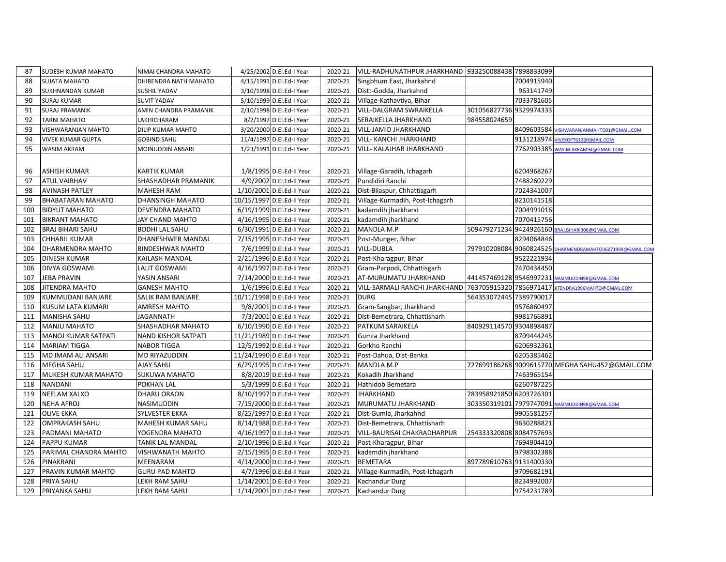| 87  | SUDESH KUMAR MAHATO      | NIMAI CHANDRA MAHATO    | 4/25/2002 D.El.Ed-I Year   | 2020-21 | VILL-RADHUNATHPUR JHARKHAND 933250088438 7898833099 |                         |            |                                                 |
|-----|--------------------------|-------------------------|----------------------------|---------|-----------------------------------------------------|-------------------------|------------|-------------------------------------------------|
| 88  | SUJATA MAHATO            | DHIRENDRA NATH MAHATO   | 4/15/1991 D.El.Ed-I Year   | 2020-21 | Singbhum East, Jharkahnd                            |                         | 7004915940 |                                                 |
| 89  | SUKHNANDAN KUMAR         | SUSHIL YADAV            | 3/10/1998 D.El.Ed-I Year   | 2020-21 | Distt-Godda, Jharkahnd                              |                         | 963141749  |                                                 |
| 90  | <b>SURAJ KUMAR</b>       | <b>SUVIT YADAV</b>      | 5/10/1999 D.El.Ed-I Year   | 2020-21 | Village-Kathavtiya, Bihar                           |                         | 7033781605 |                                                 |
| 91  | <b>SURAJ PRAMANIK</b>    | AMIN CHANDRA PRAMANIK   | 2/10/1998 D.El.Ed-I Year   | 2020-21 | <b>VILL-DALGRAM SWRAIKELLA</b>                      | 301056827736 9329974333 |            |                                                 |
| 92  | TARNI MAHATO             | LAKHICHARAM             | 8/2/1997 D.El.Ed-I Year    | 2020-21 | SERAIKELLA JHARKHAND                                | 984558024659            |            |                                                 |
| 93  | VISHWARANJAN MAHTO       | DILIP KUMAR MAHTO       | 3/20/2000 D.El.Ed-I Year   | 2020-21 | <b>VILL-JAMID JHARKHAND</b>                         |                         |            | 8409603584 VISHWARANJANMAHTO01@GMAIL.COM        |
| 94  | <b>VIVEK KUMAR GUPTA</b> | <b>GOBIND SAHU</b>      | 11/4/1997 D.El.Ed-I Year   | 2020-21 | <b>VILL- KANCHI JHARKHAND</b>                       |                         |            | 9131218974 VIVEKGPT612@GMAIL.COM                |
| 95  | WASIM AKRAM              | MOINUDDIN ANSARI        | 1/23/1991 D.El.Ed-I Year   | 2020-21 | <b>VILL- KALAJHAR JHARKHAND</b>                     |                         |            | 7762903385 WASIM.AKRAM94@GMAIL.COM              |
|     |                          |                         |                            |         |                                                     |                         |            |                                                 |
| 96  | ASHISH KUMAR             | <b>KARTIK KUMAR</b>     | 1/8/1995 D.El.Ed-II Year   | 2020-21 | Village-Garadih, Ichagarh                           |                         | 6204968267 |                                                 |
| 97  | ATUL VAIBHAV             | SHASHADHAR PRAMANIK     | 4/9/2002 D.El.Ed-II Year   | 2020-21 | Pundidiri Ranchi                                    |                         | 7488260229 |                                                 |
| 98  | <b>AVINASH PATLEY</b>    | <b>MAHESH RAM</b>       | 1/10/2001 D.El.Ed-II Year  | 2020-21 | Dist-Bilaspur, Chhattisgarh                         |                         | 7024341007 |                                                 |
| 99  | BHABATARAN MAHATO        | DHANSINGH MAHATO        | 10/15/1997 D.El.Ed-II Year | 2020-21 | Village-Kurmadih, Post-Ichagarh                     |                         | 8210141518 |                                                 |
| 100 | <b>BIDYUT MAHATO</b>     | DEVENDRA MAHATO         | 6/19/1999 D.El.Ed-II Year  | 2020-21 | kadamdih jharkhand                                  |                         | 7004991016 |                                                 |
| 101 | <b>BIKRANT MAHATO</b>    | JAY CHAND MAHTO         | 4/16/1995 D.El.Ed-II Year  | 2020-21 | kadamdih jharkhand                                  |                         | 7070415756 |                                                 |
| 102 | <b>BRAJ BIHARI SAHU</b>  | <b>BODHI LAL SAHU</b>   | 6/30/1991 D.El.Ed-II Year  | 2020-21 | MANDLA M.P                                          | 509479271234            | 9424926160 | BRAJ.BIHARI306@GMAIL.COM                        |
| 103 | CHHABIL KUMAR            | DHANESHWER MANDAL       | 7/15/1995 D.El.Ed-II Year  | 2020-21 | Post-Munger, Bihar                                  |                         | 8294064846 |                                                 |
| 104 | DHARMENDRA MAHTO         | <b>BINDESHWAR MAHTO</b> | 7/6/1999 D.El.Ed-II Year   | 2020-21 | <b>VILL-DUBLA</b>                                   | 797910208084 9060824525 |            | DHARMENDRAMAHTO06071999@GMAIL.COM               |
| 105 | <b>DINESH KUMAR</b>      | KAILASH MANDAL          | 2/21/1996 D.El.Ed-II Year  | 2020-21 | Post-Kharagpur, Bihar                               |                         | 9522221934 |                                                 |
| 106 | DIVYA GOSWAMI            | LALIT GOSWAMI           | 4/16/1997 D.El.Ed-II Year  | 2020-21 | Gram-Parpodi, Chhattisgarh                          |                         | 7470434450 |                                                 |
| 107 | <b>JEBA PRAVIN</b>       | YASIN ANSARI            | 7/14/2000 D.El.Ed-II Year  | 2020-21 | AT-MURUMATU JHARKHAND                               | 441457469128 9546997231 |            | NASIMUDDIN98@GMAIL.COM                          |
| 108 | JITENDRA MAHTO           | <b>GANESH MAHTO</b>     | 1/6/1996 D.El.Ed-II Year   | 2020-21 | VILL-SARMALI RANCHI JHARKHAND                       | 763705915320 7856971417 |            | ITENDRA1996MAHTO@GMAIL.COM                      |
| 109 | KUMMUDANI BANJARE        | SALIK RAM BANJARE       | 10/11/1998 D.El.Ed-II Year | 2020-21 | <b>DURG</b>                                         | 564353072445 7389790017 |            |                                                 |
| 110 | <b>KUSUM LATA KUMARI</b> | <b>AMRESH MAHTO</b>     | 9/8/2001 D.El.Ed-II Year   | 2020-21 | Gram-Sangbar, Jharkhand                             |                         | 9576860497 |                                                 |
| 111 | MANISHA SAHU             | <b>JAGANNATH</b>        | 7/3/2001 D.El.Ed-II Year   | 2020-21 | Dist-Bemetrara, Chhattisharh                        |                         | 9981766891 |                                                 |
| 112 | <b>MANJU MAHATO</b>      | SHASHADHAR MAHATO       | 6/10/1990 D.El.Ed-II Year  | 2020-21 | PATKUM SARAIKELA                                    | 840929114570 9304898487 |            |                                                 |
| 113 | MANOJ KUMAR SATPATI      | NAND KISHOR SATPATI     | 11/21/1989 D.El.Ed-II Year | 2020-21 | Gumla Jharkhand                                     |                         | 8709444245 |                                                 |
| 114 | <b>MARIAM TIGGA</b>      | <b>NABOR TIGGA</b>      | 12/5/1992 D.El.Ed-II Year  | 2020-21 | Gorkho Ranchi                                       |                         | 6206932361 |                                                 |
| 115 | MD IMAM ALI ANSARI       | MD RIYAZUDDIN           | 11/24/1990 D.El.Ed-II Year | 2020-21 | Post-Dahua, Dist-Banka                              |                         | 6205385462 |                                                 |
| 116 | MEGHA SAHU               | <b>AJAY SAHU</b>        | 6/29/1995 D.El.Ed-II Year  | 2020-21 | MANDLA M.P                                          |                         |            | 727699186268 9009615770 MEGHA SAHU452@GMAIL.COM |
| 117 | MUKESH KUMAR MAHATO      | <b>SUKUWA MAHATO</b>    | 8/8/2019 D.El.Ed-II Year   | 2020-21 | Kokadih Jharkhand                                   |                         | 7463965154 |                                                 |
| 118 | NANDANI                  | POKHAN LAL              | 5/3/1999 D.El.Ed-II Year   | 2020-21 | Hathidob Bemetara                                   |                         | 6260787225 |                                                 |
| 119 | NEELAM XALXO             | DHARU ORAON             | 8/10/1997 D.El.Ed-II Year  | 2020-21 | <b>JHARKHAND</b>                                    | 783958921850 6203726301 |            |                                                 |
| 120 | <b>NEHA AFROJ</b>        | NASIMUDDIN              | 7/15/2000 D.El.Ed-II Year  | 2020-21 | MURUMATU JHARKHAND                                  | 303350319101 7979747091 |            | ASIMUDDIN98@GMAIL.COM                           |
| 121 | <b>OLIVE EKKA</b>        | SYLVESTER EKKA          | 8/25/1997 D.El.Ed-II Year  | 2020-21 | Dist-Gumla, Jharkahnd                               |                         | 9905581257 |                                                 |
| 122 | OMPRAKASH SAHU           | MAHESH KUMAR SAHU       | 8/14/1988 D.El.Ed-II Year  | 2020-21 | Dist-Bemetrara, Chhattisharh                        |                         | 9630288821 |                                                 |
| 123 | PADMANI MAHATO           | YOGENDRA MAHATO         | 4/16/1997 D.El.Ed-II Year  | 2020-21 | <b>VILL-BAURISAI CHAKRADHARPUR</b>                  | 254333320808 8084757693 |            |                                                 |
| 124 | PAPPU KUMAR              | TANIK LAL MANDAL        | 2/10/1996 D.El.Ed-II Year  | 2020-21 | Post-Kharagpur, Bihar                               |                         | 7694904410 |                                                 |
| 125 | PARIMAL CHANDRA MAHTO    | VISHWANATH MAHTO        | 2/15/1995 D.El.Ed-II Year  | 2020-21 | kadamdih jharkhand                                  |                         | 9798302388 |                                                 |
| 126 | PINAKRANI                | MEENARAM                | 4/14/2000 D.El.Ed-II Year  | 2020-21 | <b>BEMETARA</b>                                     | 897789610763 9131400330 |            |                                                 |
| 127 | PRAVIN KUMAR MAHTO       | <b>GURU PAD MAHTO</b>   | 4/7/1996 D.El.Ed-II Year   | 2020-21 | Village-Kurmadih, Post-Ichagarh                     |                         | 9709682191 |                                                 |
| 128 | PRIYA SAHU               | LEKH RAM SAHU           | 1/14/2001 D.El.Ed-II Year  | 2020-21 | <b>Kachandur Durg</b>                               |                         | 8234992007 |                                                 |
| 129 | PRIYANKA SAHU            | LEKH RAM SAHU           | 1/14/2001 D.El.Ed-II Year  | 2020-21 | Kachandur Durg                                      |                         | 9754231789 |                                                 |